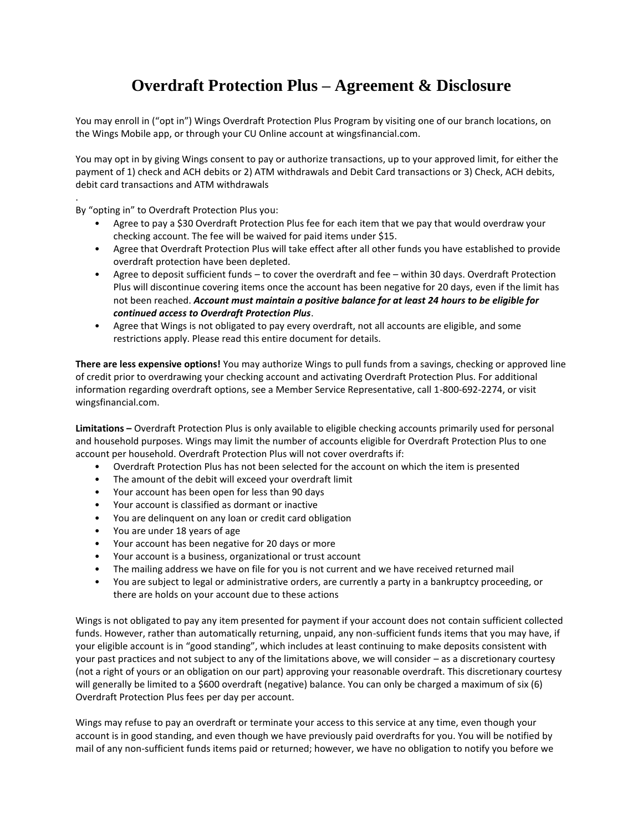# **Overdraft Protection Plus – Agreement & Disclosure**

You may enroll in ("opt in") Wings Overdraft Protection Plus Program by visiting one of our branch locations, on the Wings Mobile app, or through your CU Online account at wingsfinancial.com.

You may opt in by giving Wings consent to pay or authorize transactions, up to your approved limit, for either the payment of 1) check and ACH debits or 2) ATM withdrawals and Debit Card transactions or 3) Check, ACH debits, debit card transactions and ATM withdrawals

By "opting in" to Overdraft Protection Plus you:

.

- Agree to pay a \$30 Overdraft Protection Plus fee for each item that we pay that would overdraw your checking account. The fee will be waived for paid items under \$15.
- Agree that Overdraft Protection Plus will take effect after all other funds you have established to provide overdraft protection have been depleted.
- Agree to deposit sufficient funds to cover the overdraft and fee within 30 days. Overdraft Protection Plus will discontinue covering items once the account has been negative for 20 days, even if the limit has not been reached. *Account must maintain a positive balance for at least 24 hours to be eligible for continued access to Overdraft Protection Plus*.
- Agree that Wings is not obligated to pay every overdraft, not all accounts are eligible, and some restrictions apply. Please read this entire document for details.

**There are less expensive options!** You may authorize Wings to pull funds from a savings, checking or approved line of credit prior to overdrawing your checking account and activating Overdraft Protection Plus. For additional information regarding overdraft options, see a Member Service Representative, call 1-800-692-2274, or visit wingsfinancial.com.

**Limitations –** Overdraft Protection Plus is only available to eligible checking accounts primarily used for personal and household purposes. Wings may limit the number of accounts eligible for Overdraft Protection Plus to one account per household. Overdraft Protection Plus will not cover overdrafts if:

- Overdraft Protection Plus has not been selected for the account on which the item is presented
- The amount of the debit will exceed your overdraft limit
- Your account has been open for less than 90 days
- Your account is classified as dormant or inactive
- You are delinquent on any loan or credit card obligation
- You are under 18 years of age
- Your account has been negative for 20 days or more
- Your account is a business, organizational or trust account
- The mailing address we have on file for you is not current and we have received returned mail
- You are subject to legal or administrative orders, are currently a party in a bankruptcy proceeding, or there are holds on your account due to these actions

Wings is not obligated to pay any item presented for payment if your account does not contain sufficient collected funds. However, rather than automatically returning, unpaid, any non-sufficient funds items that you may have, if your eligible account is in "good standing", which includes at least continuing to make deposits consistent with your past practices and not subject to any of the limitations above, we will consider – as a discretionary courtesy (not a right of yours or an obligation on our part) approving your reasonable overdraft. This discretionary courtesy will generally be limited to a \$600 overdraft (negative) balance. You can only be charged a maximum of six (6) Overdraft Protection Plus fees per day per account.

Wings may refuse to pay an overdraft or terminate your access to this service at any time, even though your account is in good standing, and even though we have previously paid overdrafts for you. You will be notified by mail of any non-sufficient funds items paid or returned; however, we have no obligation to notify you before we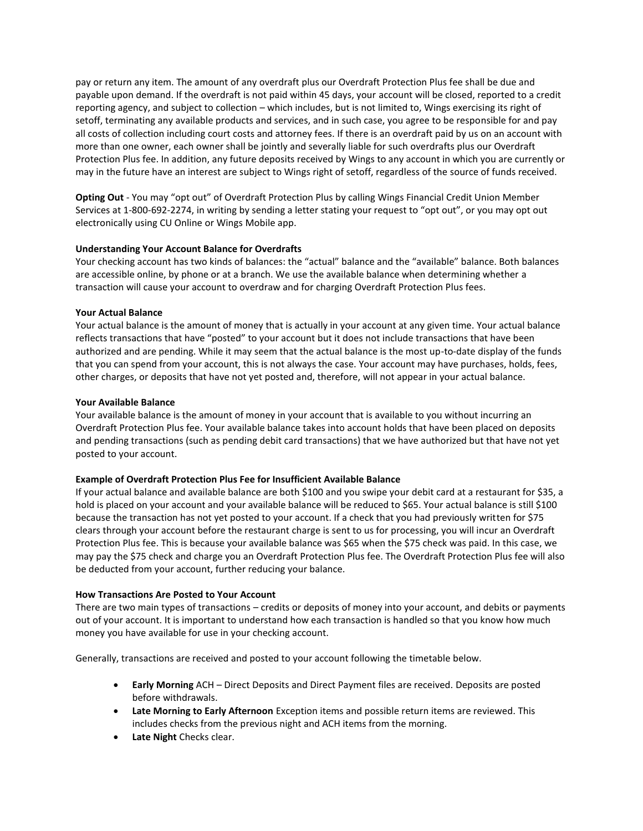pay or return any item. The amount of any overdraft plus our Overdraft Protection Plus fee shall be due and payable upon demand. If the overdraft is not paid within 45 days, your account will be closed, reported to a credit reporting agency, and subject to collection – which includes, but is not limited to, Wings exercising its right of setoff, terminating any available products and services, and in such case, you agree to be responsible for and pay all costs of collection including court costs and attorney fees. If there is an overdraft paid by us on an account with more than one owner, each owner shall be jointly and severally liable for such overdrafts plus our Overdraft Protection Plus fee. In addition, any future deposits received by Wings to any account in which you are currently or may in the future have an interest are subject to Wings right of setoff, regardless of the source of funds received.

**Opting Out** - You may "opt out" of Overdraft Protection Plus by calling Wings Financial Credit Union Member Services at 1-800-692-2274, in writing by sending a letter stating your request to "opt out", or you may opt out electronically using CU Online or Wings Mobile app.

#### **Understanding Your Account Balance for Overdrafts**

Your checking account has two kinds of balances: the "actual" balance and the "available" balance. Both balances are accessible online, by phone or at a branch. We use the available balance when determining whether a transaction will cause your account to overdraw and for charging Overdraft Protection Plus fees.

#### **Your Actual Balance**

Your actual balance is the amount of money that is actually in your account at any given time. Your actual balance reflects transactions that have "posted" to your account but it does not include transactions that have been authorized and are pending. While it may seem that the actual balance is the most up-to-date display of the funds that you can spend from your account, this is not always the case. Your account may have purchases, holds, fees, other charges, or deposits that have not yet posted and, therefore, will not appear in your actual balance.

#### **Your Available Balance**

Your available balance is the amount of money in your account that is available to you without incurring an Overdraft Protection Plus fee. Your available balance takes into account holds that have been placed on deposits and pending transactions (such as pending debit card transactions) that we have authorized but that have not yet posted to your account.

## **Example of Overdraft Protection Plus Fee for Insufficient Available Balance**

If your actual balance and available balance are both \$100 and you swipe your debit card at a restaurant for \$35, a hold is placed on your account and your available balance will be reduced to \$65. Your actual balance is still \$100 because the transaction has not yet posted to your account. If a check that you had previously written for \$75 clears through your account before the restaurant charge is sent to us for processing, you will incur an Overdraft Protection Plus fee. This is because your available balance was \$65 when the \$75 check was paid. In this case, we may pay the \$75 check and charge you an Overdraft Protection Plus fee. The Overdraft Protection Plus fee will also be deducted from your account, further reducing your balance.

## **How Transactions Are Posted to Your Account**

There are two main types of transactions – credits or deposits of money into your account, and debits or payments out of your account. It is important to understand how each transaction is handled so that you know how much money you have available for use in your checking account.

Generally, transactions are received and posted to your account following the timetable below.

- **Early Morning** ACH Direct Deposits and Direct Payment files are received. Deposits are posted before withdrawals.
- **Late Morning to Early Afternoon** Exception items and possible return items are reviewed. This includes checks from the previous night and ACH items from the morning.
- **Late Night** Checks clear.